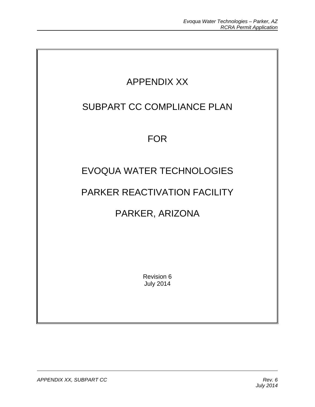

July 2014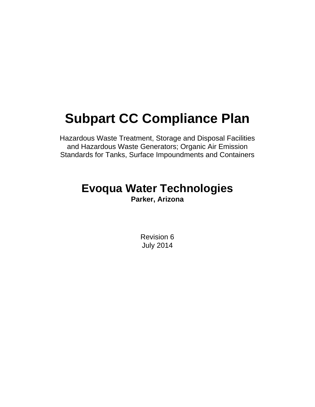# **Subpart CC Compliance Plan**

Hazardous Waste Treatment, Storage and Disposal Facilities and Hazardous Waste Generators; Organic Air Emission Standards for Tanks, Surface Impoundments and Containers

## **Evoqua Water Technologies Parker, Arizona**

Revision 6 July 2014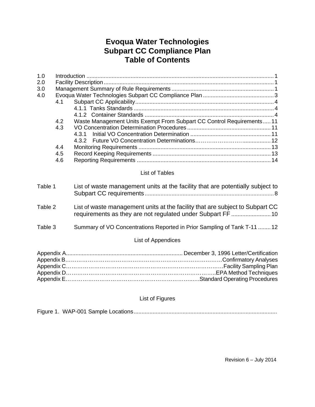### **Evoqua Water Technologies Subpart CC Compliance Plan Table of Contents**

| 1.0                |     |                                                                                |  |
|--------------------|-----|--------------------------------------------------------------------------------|--|
| 2.0                |     |                                                                                |  |
| 3.0                |     |                                                                                |  |
| 4.0                |     |                                                                                |  |
|                    | 4.1 |                                                                                |  |
|                    |     |                                                                                |  |
|                    |     |                                                                                |  |
|                    | 4.2 | Waste Management Units Exempt From Subpart CC Control Requirements 11          |  |
|                    | 4.3 |                                                                                |  |
|                    |     | 4.3.1                                                                          |  |
|                    |     | 4.3.2                                                                          |  |
|                    | 4.4 |                                                                                |  |
|                    | 4.5 |                                                                                |  |
|                    | 4.6 |                                                                                |  |
|                    |     |                                                                                |  |
|                    |     | List of Tables                                                                 |  |
| Table 1            |     | List of waste management units at the facility that are potentially subject to |  |
|                    |     |                                                                                |  |
|                    |     |                                                                                |  |
| Table 2            |     | List of waste management units at the facility that are subject to Subpart CC  |  |
|                    |     | requirements as they are not regulated under Subpart FF  10                    |  |
|                    |     |                                                                                |  |
| Table 3            |     | Summary of VO Concentrations Reported in Prior Sampling of Tank T-11  12       |  |
| List of Appendices |     |                                                                                |  |
|                    |     |                                                                                |  |
|                    |     |                                                                                |  |
|                    |     |                                                                                |  |
|                    |     |                                                                                |  |
|                    |     |                                                                                |  |
|                    |     |                                                                                |  |
|                    |     |                                                                                |  |

#### List of Figures

Figure 1. WAP-001 Sample Locations...........................................................................................

Revision 6 – July 2014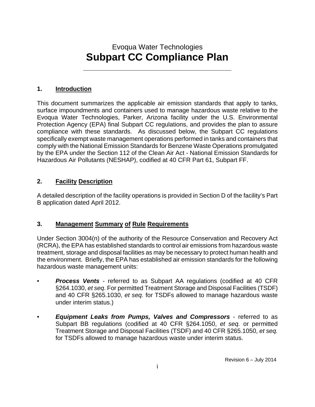## Evoqua Water Technologies  **Subpart CC Compliance Plan**

#### **1. Introduction**

This document summarizes the applicable air emission standards that apply to tanks, surface impoundments and containers used to manage hazardous waste relative to the Evoqua Water Technologies, Parker, Arizona facility under the U.S. Environmental Protection Agency (EPA) final Subpart CC regulations, and provides the plan to assure compliance with these standards. As discussed below, the Subpart CC regulations specifically exempt waste management operations performed in tanks and containers that comply with the National Emission Standards for Benzene Waste Operations promulgated by the EPA under the Section 112 of the Clean Air Act - National Emission Standards for Hazardous Air Pollutants (NESHAP), codified at 40 CFR Part 61, Subpart FF.

#### **2. Facility Description**

A detailed description of the facility operations is provided in Section D of the facility's Part B application dated April 2012.

#### **3. Management Summary of Rule Requirements**

Under Section 3004(n) of the authority of the Resource Conservation and Recovery Act (RCRA), the EPA has established standards to control air emissions from hazardous waste treatment, storage and disposal facilities as may be necessary to protect human health and the environment. Briefly, the EPA has established air emission standards for the following hazardous waste management units:

- *Process Vents* referred to as Subpart AA regulations (codified at 40 CFR §264.1030, *et seq*. For permitted Treatment Storage and Disposal Facilities (TSDF) and 40 CFR §265.1030, *et seq.* for TSDFs allowed to manage hazardous waste under interim status.)
- *Equipment Leaks from Pumps, Valves and Compressors* referred to as Subpart BB regulations (codified at 40 CFR §264.1050, *et seq.* or permitted Treatment Storage and Disposal Facilities (TSDF) and 40 CFR §265.1050, *et seq.*  for TSDFs allowed to manage hazardous waste under interim status.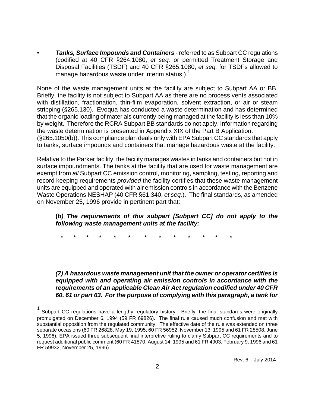• *Tanks, Surface Impounds and Containers* - referred to as Subpart CC regulations (codified at 40 CFR §264.1080, *et seq.* or permitted Treatment Storage and Disposal Facilities (TSDF) and 40 CFR §265.1080, *et seq.* for TSDFs allowed to manage hazardous waste under interim status.)  $1$ 

None of the waste management units at the facility are subject to Subpart AA or BB. Briefly, the facility is not subject to Subpart AA as there are no process vents associated with distillation, fractionation, thin-film evaporation, solvent extraction, or air or steam stripping (§265.130). Evoqua has conducted a waste determination and has determined that the organic loading of materials currently being managed at the facility is less than 10% by weight. Therefore the RCRA Subpart BB standards do not apply. Information regarding the waste determination is presented in Appendix XIX of the Part B Application. (§265.1050(b)). This compliance plan deals only with EPA Subpart CC standards that apply to tanks, surface impounds and containers that manage hazardous waste at the facility.

Relative to the Parker facility, the facility manages wastes in tanks and containers but not in surface impoundments. The tanks at the facility that are used for waste management are exempt from *all* Subpart CC emission control, monitoring, sampling, testing, reporting and record keeping requirements *provided* the facility certifies that these waste management units are equipped and operated with air emission controls in accordance with the Benzene Waste Operations NESHAP (40 CFR §61.340, *et seq.*). The final standards, as amended on November 25, 1996 provide in pertinent part that:

#### **(***b) The requirements of this subpart [Subpart CC] do not apply to the following waste management units at the facility:*

\* \* \* \* \* \* \* \* \* \* \* \* \*

l

*(7) A hazardous waste management unit that the owner or operator certifies is equipped with and operating air emission controls in accordance with the requirements of an applicable Clean Air Act regulation codified under 40 CFR 60, 61 or part 63. For the purpose of complying with this paragraph, a tank for* 

<sup>1</sup> Subpart CC regulations have a lengthy regulatory history. Briefly, the final standards were originally promulgated on December 6, 1994 (59 FR 69826). The final rule caused much confusion and met with substantial opposition from the regulated community. The effective date of the rule was extended on three separate occasions (60 FR 26828, May 19, 1995; 60 FR 56952, November 13, 1995 and 61 FR 28508, June 5, 1996); EPA issued three subsequent final interpretive ruling to clarify Subpart CC requirements and to request additional public comment (60 FR 41870, August 14, 1995 and 61 FR 4903, February 9, 1996 and 61 FR 59932, November 25, 1996).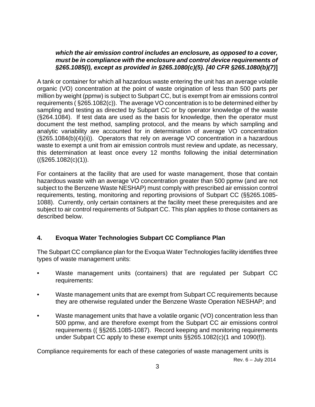#### *which the air emission control includes an enclosure, as opposed to a cover, must be in compliance with the enclosure and control device requirements of §265.1085(I), except as provided in §265.1080(c)(5). [40 CFR §265.1080(b)(7)***]**

A tank or container for which all hazardous waste entering the unit has an average volatile organic (VO) concentration at the point of waste origination of less than 500 parts per million by weight (ppmw) is subject to Subpart CC, but is exempt from air emissions control requirements ( §265.1082(c)). The average VO concentration is to be determined either by sampling and testing as directed by Subpart CC or by operator knowledge of the waste (§264.1084). If test data are used as the basis for knowledge, then the operator must document the test method, sampling protocol, and the means by which sampling and analytic variability are accounted for in determination of average VO concentration (§265.1084(b)(4)(ii)). Operators that rely on average VO concentration in a hazardous waste to exempt a unit from air emission controls must review and update, as necessary, this determination at least once every 12 months following the initial determination  $((\text{$}265.1082(c)(1)).$ 

For containers at the facility that are used for waste management, those that contain hazardous waste with an average VO concentration greater than 500 ppmw (and are not subject to the Benzene Waste NESHAP) must comply with prescribed air emission control requirements, testing, monitoring and reporting provisions of Subpart CC (§§265.1085- 1088). Currently, only certain containers at the facility meet these prerequisites and are subject to air control requirements of Subpart CC. This plan applies to those containers as described below.

#### **4. Evoqua Water Technologies Subpart CC Compliance Plan**

The Subpart CC compliance plan for the Evoqua Water Technologies facility identifies three types of waste management units:

- Waste management units (containers) that are regulated per Subpart CC requirements:
- Waste management units that are exempt from Subpart CC requirements because they are otherwise regulated under the Benzene Waste Operation NESHAP; and
- Waste management units that have a volatile organic (VO) concentration less than 500 ppmw, and are therefore exempt from the Subpart CC air emissions control requirements (( §§265.1085-1087). Record keeping and monitoring requirements under Subpart CC apply to these exempt units §§265.1082(c)(1 and 1090(f)).

Compliance requirements for each of these categories of waste management units is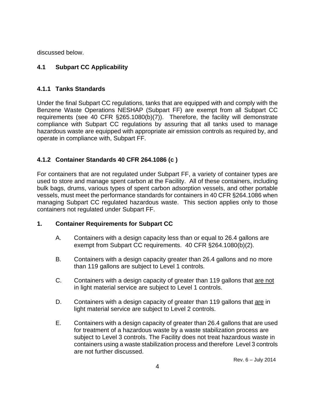discussed below.

#### **4.1 Subpart CC Applicability**

#### **4.1.1 Tanks Standards**

Under the final Subpart CC regulations, tanks that are equipped with and comply with the Benzene Waste Operations NESHAP (Subpart FF) are exempt from all Subpart CC requirements (see 40 CFR §265.1080(b)(7)). Therefore, the facility will demonstrate compliance with Subpart CC regulations by assuring that all tanks used to manage hazardous waste are equipped with appropriate air emission controls as required by, and operate in compliance with, Subpart FF.

#### **4.1.2 Container Standards 40 CFR 264.1086 (c )**

For containers that are not regulated under Subpart FF, a variety of container types are used to store and manage spent carbon at the Facility. All of these containers, including bulk bags, drums, various types of spent carbon adsorption vessels, and other portable vessels, must meet the performance standards for containers in 40 CFR §264.1086 when managing Subpart CC regulated hazardous waste. This section applies only to those containers not regulated under Subpart FF.

#### **1. Container Requirements for Subpart CC**

- A. Containers with a design capacity less than or equal to 26.4 gallons are exempt from Subpart CC requirements. 40 CFR §264.1080(b)(2).
- B. Containers with a design capacity greater than 26.4 gallons and no more than 119 gallons are subject to Level 1 controls.
- C. Containers with a design capacity of greater than 119 gallons that are not in light material service are subject to Level 1 controls.
- D. Containers with a design capacity of greater than 119 gallons that are in light material service are subject to Level 2 controls.
- E. Containers with a design capacity of greater than 26.4 gallons that are used for treatment of a hazardous waste by a waste stabilization process are subject to Level 3 controls. The Facility does not treat hazardous waste in containers using a waste stabilization process and therefore Level 3 controls are not further discussed.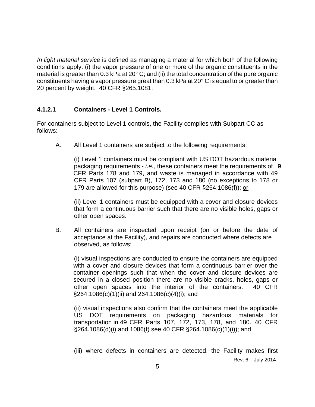*In light material service* is defined as managing a material for which both of the following conditions apply: (i) the vapor pressure of one or more of the organic constituents in the material is greater than 0.3 kPa at 20° C; and (ii) the total concentration of the pure organic constituents having a vapor pressure great than 0.3 kPa at 20° C is equal to or greater than 20 percent by weight. 40 CFR §265.1081.

#### **4.1.2.1 Containers - Level 1 Controls.**

For containers subject to Level 1 controls, the Facility complies with Subpart CC as follows:

A. All Level 1 containers are subject to the following requirements:

 (i) Level 1 containers must be compliant with US DOT hazardous material packaging requirements - *i.e.,* these containers meet the requirements of 49 CFR Parts 178 and 179, and waste is managed in accordance with 49 CFR Parts 107 (subpart B), 172, 173 and 180 (no exceptions to 178 or 179 are allowed for this purpose) (see 40 CFR §264.1086(f)); or

 (ii) Level 1 containers must be equipped with a cover and closure devices that form a continuous barrier such that there are no visible holes, gaps or other open spaces.

B. All containers are inspected upon receipt (on or before the date of acceptance at the Facility), and repairs are conducted where defects are observed, as follows:

 (i) visual inspections are conducted to ensure the containers are equipped with a cover and closure devices that form a continuous barrier over the container openings such that when the cover and closure devices are secured in a closed position there are no visible cracks, holes, gaps or other open spaces into the interior of the containers. 40 CFR §264.1086(c)(1)(ii) and 264.1086(c)(4)(i); and

 (ii) visual inspections also confirm that the containers meet the applicable US DOT requirements on packaging hazardous materials for transportation in 49 CFR Parts 107, 172, 173, 178, and 180. 40 CFR §264.1086(d)(i) and 1086(f) see 40 CFR §264.1086(c)(1)(i)); and

 Rev. 6 – July 2014 (iii) where defects in containers are detected, the Facility makes first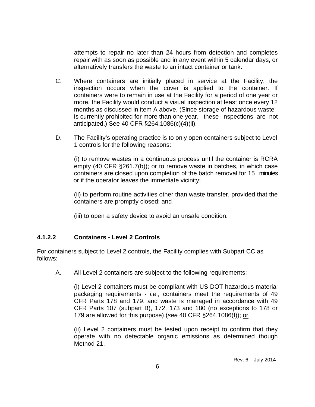attempts to repair no later than 24 hours from detection and completes repair with as soon as possible and in any event within 5 calendar days, or alternatively transfers the waste to an intact container or tank.

- C. Where containers are initially placed in service at the Facility, the inspection occurs when the cover is applied to the container. If containers were to remain in use at the Facility for a period of one year or more, the Facility would conduct a visual inspection at least once every 12 months as discussed in item A above. (Since storage of hazardous waste is currently prohibited for more than one year, these inspections are not anticipated.) See 40 CFR §264.1086(c)(4)(ii).
- D. The Facility's operating practice is to only open containers subject to Level 1 controls for the following reasons:

 (i) to remove wastes in a continuous process until the container is RCRA empty (40 CFR §261.7(b)); or to remove waste in batches, in which case containers are closed upon completion of the batch removal for 15 minutes or if the operator leaves the immediate vicinity;

 (ii) to perform routine activities other than waste transfer, provided that the containers are promptly closed; and

(iii) to open a safety device to avoid an unsafe condition.

#### **4.1.2.2 Containers - Level 2 Controls**

For containers subject to Level 2 controls, the Facility complies with Subpart CC as follows:

A. All Level 2 containers are subject to the following requirements:

 (i) Level 2 containers must be compliant with US DOT hazardous material packaging requirements - *i.e.,* containers meet the requirements of 49 CFR Parts 178 and 179, and waste is managed in accordance with 49 CFR Parts 107 (subpart B), 172, 173 and 180 (no exceptions to 178 or 179 are allowed for this purpose) (*see* 40 CFR §264.1086(f)); or

 (ii) Level 2 containers must be tested upon receipt to confirm that they operate with no detectable organic emissions as determined though Method 21.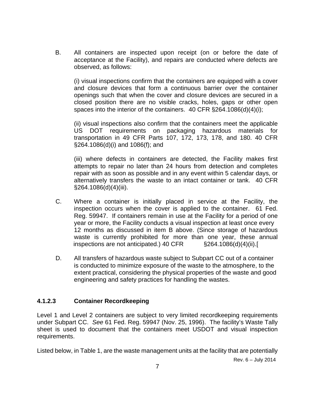B. All containers are inspected upon receipt (on or before the date of acceptance at the Facility), and repairs are conducted where defects are observed, as follows:

 (i) visual inspections confirm that the containers are equipped with a cover and closure devices that form a continuous barrier over the container openings such that when the cover and closure devices are secured in a closed position there are no visible cracks, holes, gaps or other open spaces into the interior of the containers. 40 CFR §264.1086(d)(4)(i);

 (ii) visual inspections also confirm that the containers meet the applicable US DOT requirements on packaging hazardous materials for transportation in 49 CFR Parts 107, 172, 173, 178, and 180. 40 CFR §264.1086(d)(i) and 1086(f); and

 (iii) where defects in containers are detected, the Facility makes first attempts to repair no later than 24 hours from detection and completes repair with as soon as possible and in any event within 5 calendar days, or alternatively transfers the waste to an intact container or tank. 40 CFR §264.1086(d)(4)(iii).

- C. Where a container is initially placed in service at the Facility, the inspection occurs when the cover is applied to the container. 61 Fed. Reg. 59947. If containers remain in use at the Facility for a period of one year or more, the Facility conducts a visual inspection at least once every 12 months as discussed in item B above. (Since storage of hazardous waste is currently prohibited for more than one year, these annual inspections are not anticipated.) 40 CFR §264.1086(d)(4)(ii).[
- D. All transfers of hazardous waste subject to Subpart CC out of a container is conducted to minimize exposure of the waste to the atmosphere, to the extent practical, considering the physical properties of the waste and good engineering and safety practices for handling the wastes.

#### **4.1.2.3 Container Recordkeeping**

Level 1 and Level 2 containers are subject to very limited recordkeeping requirements under Subpart CC. *See* 61 Fed. Reg. 59947 (Nov. 25, 1996). The facility's Waste Tally sheet is used to document that the containers meet USDOT and visual inspection requirements.

Listed below, in Table 1, are the waste management units at the facility that are potentially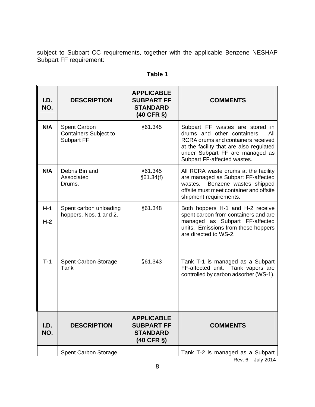subject to Subpart CC requirements, together with the applicable Benzene NESHAP Subpart FF requirement:

| I.D.<br>NO.    | <b>DESCRIPTION</b>                                                | <b>APPLICABLE</b><br><b>SUBPART FF</b><br><b>STANDARD</b><br>$(40$ CFR $\S)$  | <b>COMMENTS</b>                                                                                                                                                                                                             |
|----------------|-------------------------------------------------------------------|-------------------------------------------------------------------------------|-----------------------------------------------------------------------------------------------------------------------------------------------------------------------------------------------------------------------------|
| N/A            | <b>Spent Carbon</b><br><b>Containers Subject to</b><br>Subpart FF | §61.345                                                                       | Subpart FF wastes are stored<br>in<br>drums and other containers.<br>All<br>RCRA drums and containers received<br>at the facility that are also regulated<br>under Subpart FF are managed as<br>Subpart FF-affected wastes. |
| N/A            | Debris Bin and<br>Associated<br>Drums.                            | §61.345<br>§61.34(f)                                                          | All RCRA waste drums at the facility<br>are managed as Subpart FF-affected<br>Benzene wastes shipped<br>wastes.<br>offsite must meet container and offsite<br>shipment requirements.                                        |
| $H-1$<br>$H-2$ | Spent carbon unloading<br>hoppers, Nos. 1 and 2.                  | §61.348                                                                       | Both hoppers H-1 and H-2 receive<br>spent carbon from containers and are<br>managed as Subpart FF-affected<br>units. Emissions from these hoppers<br>are directed to WS-2.                                                  |
| $T-1$          | <b>Spent Carbon Storage</b><br>Tank                               | §61.343                                                                       | Tank T-1 is managed as a Subpart<br>FF-affected unit. Tank vapors are<br>controlled by carbon adsorber (WS-1).                                                                                                              |
| I.D.<br>NO.    | <b>DESCRIPTION</b>                                                | <b>APPLICABLE</b><br><b>SUBPART FF</b><br><b>STANDARD</b><br>$(40$ CFR $\S$ ) | <b>COMMENTS</b>                                                                                                                                                                                                             |
|                | Spent Carbon Storage                                              |                                                                               | Tank T-2 is managed as a Subpart                                                                                                                                                                                            |

| ı<br>ומו<br>. . |  |
|-----------------|--|
|                 |  |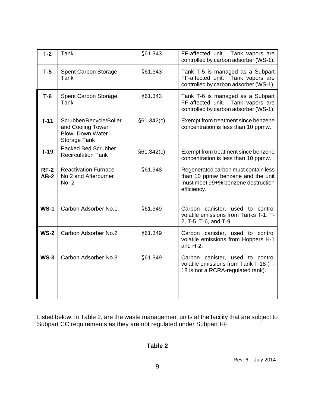| $T-2$            | Tank                                                                                           | §61.343    | FF-affected unit. Tank vapors are<br>controlled by carbon adsorber (WS-1).                                                     |
|------------------|------------------------------------------------------------------------------------------------|------------|--------------------------------------------------------------------------------------------------------------------------------|
| $T-5$            | <b>Spent Carbon Storage</b><br>Tank                                                            | §61.343    | Tank T-5 is managed as a Subpart<br>FF-affected unit. Tank vapors are<br>controlled by carbon adsorber (WS-1).                 |
| $T-6$            | <b>Spent Carbon Storage</b><br>Tank                                                            | §61.343    | Tank T-6 is managed as a Subpart<br>FF-affected unit.<br>Tank vapors are<br>controlled by carbon adsorber (WS-1).              |
| $T-11$           | Scrubber/Recycle/Boiler<br>and Cooling Tower<br><b>Blow- Down Water</b><br><b>Storage Tank</b> | §61.342(c) | Exempt from treatment since benzene<br>concentration is less than 10 ppmw.                                                     |
| $T-19$           | <b>Packed Bed Scrubber</b><br><b>Recirculation Tank</b>                                        | §61.342(c) | Exempt from treatment since benzene<br>concentration is less than 10 ppmw.                                                     |
| $RF-2$<br>$AB-2$ | <b>Reactivation Furnace</b><br>No.2 and Afterburner<br>No. 2                                   | §61.348    | Regenerated carbon must contain less<br>than 10 ppmw benzene and the unit<br>must meet 99+% benzene destruction<br>efficiency. |
| $WS-1$           | Carbon Adsorber No.1                                                                           | §61.349    | Carbon canister, used to control<br>volatile emissions from Tanks T-1, T-<br>2, T-5, T-6, and T-9.                             |
| $WS-2$           | Carbon Adsorber No.2                                                                           | §61.349    | Carbon canister, used to control<br>volatile emissions from Hoppers H-1<br>and $H-2$ .                                         |
| $WS-3$           | Carbon Adsorber No.3                                                                           | §61.349    | Carbon canister, used to control<br>volatile emissions from Tank T-18 (T-<br>18 is not a RCRA-regulated tank).                 |

Listed below, in Table 2, are the waste management units at the facility that are subject to Subpart CC requirements as they are not regulated under Subpart FF.

#### **Table 2**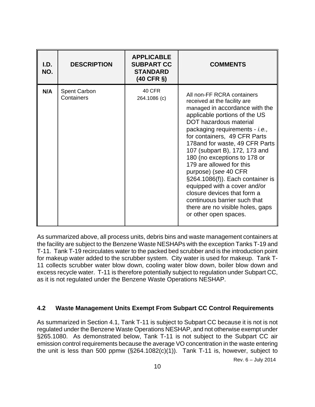| I.D.<br>NO. | <b>DESCRIPTION</b>                | <b>APPLICABLE</b><br><b>SUBPART CC</b><br><b>STANDARD</b><br>$(40$ CFR $\S)$ | <b>COMMENTS</b>                                                                                                                                                                                                                                                                                                                                                                                                                                                                                                                                                                          |
|-------------|-----------------------------------|------------------------------------------------------------------------------|------------------------------------------------------------------------------------------------------------------------------------------------------------------------------------------------------------------------------------------------------------------------------------------------------------------------------------------------------------------------------------------------------------------------------------------------------------------------------------------------------------------------------------------------------------------------------------------|
| N/A         | <b>Spent Carbon</b><br>Containers | 40 CFR<br>264.1086 (c)                                                       | All non-FF RCRA containers<br>received at the facility are<br>managed in accordance with the<br>applicable portions of the US<br><b>DOT</b> hazardous material<br>packaging requirements - i.e.,<br>for containers, 49 CFR Parts<br>178 and for waste, 49 CFR Parts<br>107 (subpart B), 172, 173 and<br>180 (no exceptions to 178 or<br>179 are allowed for this<br>purpose) (see 40 CFR<br>§264.1086(f)). Each container is<br>equipped with a cover and/or<br>closure devices that form a<br>continuous barrier such that<br>there are no visible holes, gaps<br>or other open spaces. |

As summarized above, all process units, debris bins and waste management containers at the facility are subject to the Benzene Waste NESHAPs with the exception Tanks T-19 and T-11. Tank T-19 recirculates water to the packed bed scrubber and is the introduction point for makeup water added to the scrubber system. City water is used for makeup. Tank T-11 collects scrubber water blow down, cooling water blow down, boiler blow down and excess recycle water. T-11 is therefore potentially subject to regulation under Subpart CC, as it is not regulated under the Benzene Waste Operations NESHAP.

#### **4.2 Waste Management Units Exempt From Subpart CC Control Requirements**

As summarized in Section 4.1, Tank T-11 is subject to Subpart CC because it is not is not regulated under the Benzene Waste Operations NESHAP, and not otherwise exempt under §265.1080. As demonstrated below, Tank T-11 is not subject to the Subpart CC air emission control requirements because the average VO concentration in the waste entering the unit is less than 500 ppmw (§264.1082(c)(1)). Tank T-11 is, however, subject to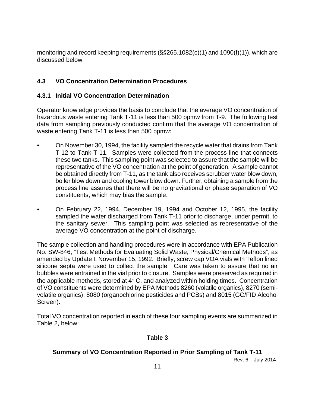monitoring and record keeping requirements (§§265.1082(c)(1) and 1090(f)(1)), which are discussed below.

#### **4.3 VO Concentration Determination Procedures**

#### **4.3.1 Initial VO Concentration Determination**

Operator knowledge provides the basis to conclude that the average VO concentration of hazardous waste entering Tank T-11 is less than 500 ppmw from T-9. The following test data from sampling previously conducted confirm that the average VO concentration of waste entering Tank T-11 is less than 500 ppmw:

- On November 30, 1994, the facility sampled the recycle water that drains from Tank T-12 to Tank T-11. Samples were collected from the process line that connects these two tanks. This sampling point was selected to assure that the sample will be representative of the VO concentration at the point of generation. A sample cannot be obtained directly from T-11, as the tank also receives scrubber water blow down, boiler blow down and cooling tower blow down. Further, obtaining a sample from the process line assures that there will be no gravitational or phase separation of VO constituents, which may bias the sample.
- On February 22, 1994, December 19, 1994 and October 12, 1995, the facility sampled the water discharged from Tank T-11 prior to discharge, under permit, to the sanitary sewer. This sampling point was selected as representative of the average VO concentration at the point of discharge.

The sample collection and handling procedures were in accordance with EPA Publication No. SW-846, "Test Methods for Evaluating Solid Waste, Physical/Chemical Methods", as amended by Update I, November 15, 1992. Briefly, screw cap VOA vials with Teflon lined silicone septa were used to collect the sample. Care was taken to assure that no air bubbles were entrained in the vial prior to closure. Samples were preserved as required in the applicable methods, stored at  $4^{\circ}$  C, and analyzed within holding times. Concentration of VO constituents were determined by EPA Methods 8260 (volatile organics), 8270 (semivolatile organics), 8080 (organochlorine pesticides and PCBs) and 8015 (GC/FID Alcohol Screen).

Total VO concentration reported in each of these four sampling events are summarized in Table 2, below:

#### **Table 3**

#### **Summary of VO Concentration Reported in Prior Sampling of Tank T-11**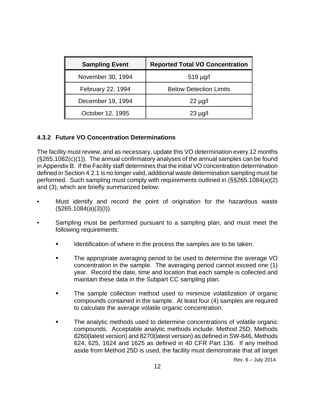| <b>Sampling Event</b> | <b>Reported Total VO Concentration</b> |
|-----------------------|----------------------------------------|
| November 30, 1994     | $519 \mu g/l$                          |
| February 22, 1994     | <b>Below Detection Limits</b>          |
| December 19, 1994     | $22 \mu g/l$                           |
| October 12, 1995      | $23 \mu g/l$                           |

#### **4.3.2 Future VO Concentration Determinations**

The facility must review, and as necessary, update this VO determination every 12 months (§265.1082(c)(1)). The annual confirmatory analyses of the annual samples can be found in Appendix B. If the Facility staff determines that the initial VO concentration determination defined in Section 4.2.1 is no longer valid, additional waste determination sampling must be performed. Such sampling must comply with requirements outlined in (§§265.1084(a)(2) and (3), which are briefly summarized below:

- Must identify and record the point of origination for the hazardous waste  $(S265.1084(a)(3)(I)).$
- Sampling must be performed pursuant to a sampling plan, and must meet the following requirements:
	- **IDEDE IDENT** Identification of where in the process the samples are to be taken.
	- The appropriate averaging period to be used to determine the average VO concentration in the sample. The averaging period cannot exceed one (1) year. Record the date, time and location that each sample is collected and maintain these data in the Subpart CC sampling plan.
	- **The sample collection method used to minimize volatilization of organic** compounds contained in the sample. At least four (4) samples are required to calculate the average volatile organic concentration.
	- The analytic methods used to determine concentrations of volatile organic compounds. Acceptable analytic methods include: Method 25D, Methods 8260(latest version) and 8270(latest version) as defined in SW-846, Methods 624, 625, 1624 and 1625 as defined in 40 CFR Part 136. If any method aside from Method 25D is used, the facility must demonstrate that all target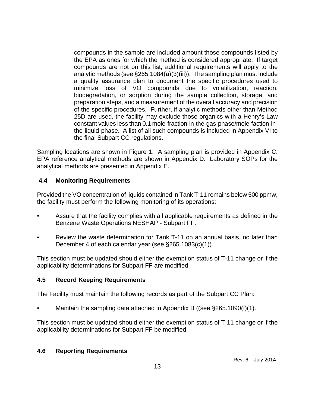compounds in the sample are included amount those compounds listed by the EPA as ones for which the method is considered appropriate. If target compounds are not on this list, additional requirements will apply to the analytic methods (see §265.1084(a)(3)(iii)). The sampling plan must include a quality assurance plan to document the specific procedures used to minimize loss of VO compounds due to volatilization, reaction, biodegradation, or sorption during the sample collection, storage, and preparation steps, and a measurement of the overall accuracy and precision of the specific procedures. Further, if analytic methods other than Method 25D are used, the facility may exclude those organics with a Henry's Law constant values less than 0.1 mole-fraction-in-the-gas-phase/mole-faction-inthe-liquid-phase. A list of all such compounds is included in Appendix VI to the final Subpart CC regulations.

Sampling locations are shown in Figure 1. A sampling plan is provided in Appendix C. EPA reference analytical methods are shown in Appendix D. Laboratory SOPs for the analytical methods are presented in Appendix E.

#### **4.4 Monitoring Requirements**

Provided the VO concentration of liquids contained in Tank T-11 remains below 500 ppmw, the facility must perform the following monitoring of its operations:

- Assure that the facility complies with all applicable requirements as defined in the Benzene Waste Operations NESHAP - Subpart FF.
- Review the waste determination for Tank T-11 on an annual basis, no later than December 4 of each calendar year (see §265.1083(c)(1)).

This section must be updated should either the exemption status of T-11 change or if the applicability determinations for Subpart FF are modified.

#### **4.5 Record Keeping Requirements**

The Facility must maintain the following records as part of the Subpart CC Plan:

• Maintain the sampling data attached in Appendix B ((see §265.1090(f)(1).

This section must be updated should either the exemption status of T-11 change or if the applicability determinations for Subpart FF be modified.

#### **4.6 Reporting Requirements**